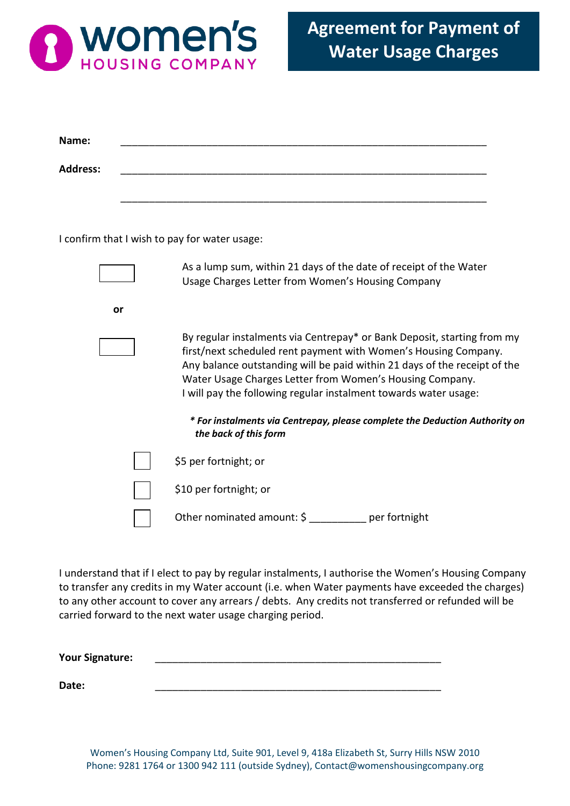

| Name:           |                                                                                                                                                                                                                                                                                                                                                         |
|-----------------|---------------------------------------------------------------------------------------------------------------------------------------------------------------------------------------------------------------------------------------------------------------------------------------------------------------------------------------------------------|
| <b>Address:</b> |                                                                                                                                                                                                                                                                                                                                                         |
|                 |                                                                                                                                                                                                                                                                                                                                                         |
|                 |                                                                                                                                                                                                                                                                                                                                                         |
|                 | I confirm that I wish to pay for water usage:                                                                                                                                                                                                                                                                                                           |
|                 | As a lump sum, within 21 days of the date of receipt of the Water<br>Usage Charges Letter from Women's Housing Company                                                                                                                                                                                                                                  |
| or              |                                                                                                                                                                                                                                                                                                                                                         |
|                 | By regular instalments via Centrepay* or Bank Deposit, starting from my<br>first/next scheduled rent payment with Women's Housing Company.<br>Any balance outstanding will be paid within 21 days of the receipt of the<br>Water Usage Charges Letter from Women's Housing Company.<br>I will pay the following regular instalment towards water usage: |
|                 | * For instalments via Centrepay, please complete the Deduction Authority on<br>the back of this form                                                                                                                                                                                                                                                    |
|                 | \$5 per fortnight; or                                                                                                                                                                                                                                                                                                                                   |
|                 | \$10 per fortnight; or                                                                                                                                                                                                                                                                                                                                  |
|                 | Other nominated amount: \$ __________ per fortnight                                                                                                                                                                                                                                                                                                     |

I understand that if I elect to pay by regular instalments, I authorise the Women's Housing Company to transfer any credits in my Water account (i.e. when Water payments have exceeded the charges) to any other account to cover any arrears / debts. Any credits not transferred or refunded will be carried forward to the next water usage charging period.

| <b>Your Signature:</b> |  |  |
|------------------------|--|--|
|                        |  |  |
| Date:                  |  |  |

Women's Housing Company Ltd, Suite 901, Level 9, 418a Elizabeth St, Surry Hills NSW 2010 Phone: 9281 1764 or 1300 942 111 (outside Sydney), Contact@womenshousingcompany.org